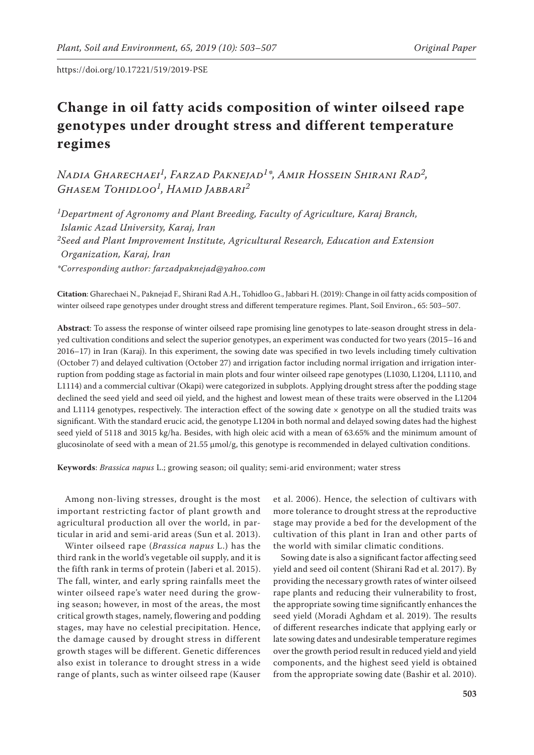# **Change in oil fatty acids composition of winter oilseed rape genotypes under drought stress and different temperature regimes**

*Nadia Gharechaei1, Farzad Paknejad1\*, Amir Hossein Shirani Rad2, Ghasem Tohidloo1, Hamid Jabbari2*

*1Department of Agronomy and Plant Breeding, Faculty of Agriculture, Karaj Branch, Islamic Azad University, Karaj, Iran 2Seed and Plant Improvement Institute, Agricultural Research, Education and Extension Organization, Karaj, Iran \*Corresponding author: farzadpaknejad@yahoo.com*

**Citation**: Gharechaei N., Paknejad F., Shirani Rad A.H., Tohidloo G., Jabbari H. (2019): Change in oil fatty acids composition of winter oilseed rape genotypes under drought stress and different temperature regimes. Plant, Soil Environ., 65: 503–507.

**Abstract**: To assess the response of winter oilseed rape promising line genotypes to late-season drought stress in delayed cultivation conditions and select the superior genotypes, an experiment was conducted for two years (2015–16 and 2016–17) in Iran (Karaj). In this experiment, the sowing date was specified in two levels including timely cultivation (October 7) and delayed cultivation (October 27) and irrigation factor including normal irrigation and irrigation interruption from podding stage as factorial in main plots and four winter oilseed rape genotypes (L1030, L1204, L1110, and L1114) and a commercial cultivar (Okapi) were categorized in subplots. Applying drought stress after the podding stage declined the seed yield and seed oil yield, and the highest and lowest mean of these traits were observed in the L1204 and L1114 genotypes, respectively. The interaction effect of the sowing date  $\times$  genotype on all the studied traits was significant. With the standard erucic acid, the genotype L1204 in both normal and delayed sowing dates had the highest seed yield of 5118 and 3015 kg/ha. Besides, with high oleic acid with a mean of 63.65% and the minimum amount of glucosinolate of seed with a mean of 21.55 μmol/g, this genotype is recommended in delayed cultivation conditions.

**Keywords**: *Brassica napus* L.; growing season; oil quality; semi-arid environment; water stress

Among non-living stresses, drought is the most important restricting factor of plant growth and agricultural production all over the world, in particular in arid and semi-arid areas (Sun et al. 2013).

Winter oilseed rape (*Brassica napus* L.) has the third rank in the world's vegetable oil supply, and it is the fifth rank in terms of protein (Jaberi et al. 2015). The fall, winter, and early spring rainfalls meet the winter oilseed rape's water need during the growing season; however, in most of the areas, the most critical growth stages, namely, flowering and podding stages, may have no celestial precipitation. Hence, the damage caused by drought stress in different growth stages will be different. Genetic differences also exist in tolerance to drought stress in a wide range of plants, such as winter oilseed rape (Kauser

et al. 2006). Hence, the selection of cultivars with more tolerance to drought stress at the reproductive stage may provide a bed for the development of the cultivation of this plant in Iran and other parts of the world with similar climatic conditions.

Sowing date is also a significant factor affecting seed yield and seed oil content (Shirani Rad et al. 2017). By providing the necessary growth rates of winter oilseed rape plants and reducing their vulnerability to frost, the appropriate sowing time significantly enhances the seed yield (Moradi Aghdam et al. 2019). The results of different researches indicate that applying early or late sowing dates and undesirable temperature regimes over the growth period result in reduced yield and yield components, and the highest seed yield is obtained from the appropriate sowing date (Bashir et al. 2010).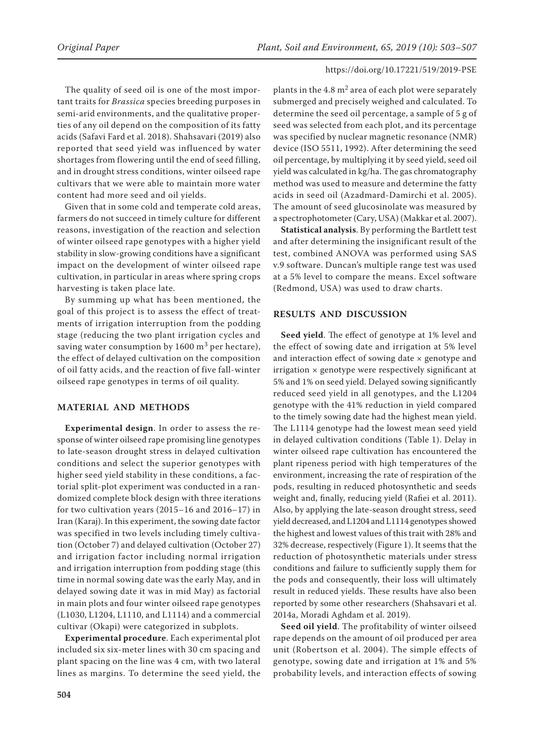The quality of seed oil is one of the most important traits for *Brassica* species breeding purposes in semi-arid environments, and the qualitative properties of any oil depend on the composition of its fatty acids (Safavi Fard et al. 2018). Shahsavari (2019) also reported that seed yield was influenced by water shortages from flowering until the end of seed filling, and in drought stress conditions, winter oilseed rape cultivars that we were able to maintain more water content had more seed and oil yields.

Given that in some cold and temperate cold areas, farmers do not succeed in timely culture for different reasons, investigation of the reaction and selection of winter oilseed rape genotypes with a higher yield stability in slow-growing conditions have a significant impact on the development of winter oilseed rape cultivation, in particular in areas where spring crops harvesting is taken place late.

By summing up what has been mentioned, the goal of this project is to assess the effect of treatments of irrigation interruption from the podding stage (reducing the two plant irrigation cycles and saving water consumption by  $1600 \text{ m}^3$  per hectare), the effect of delayed cultivation on the composition of oil fatty acids, and the reaction of five fall-winter oilseed rape genotypes in terms of oil quality.

## **MATERIAL AND METHODS**

**Experimental design**. In order to assess the response of winter oilseed rape promising line genotypes to late-season drought stress in delayed cultivation conditions and select the superior genotypes with higher seed yield stability in these conditions, a factorial split-plot experiment was conducted in a randomized complete block design with three iterations for two cultivation years (2015–16 and 2016–17) in Iran (Karaj). In this experiment, the sowing date factor was specified in two levels including timely cultivation (October 7) and delayed cultivation (October 27) and irrigation factor including normal irrigation and irrigation interruption from podding stage (this time in normal sowing date was the early May, and in delayed sowing date it was in mid May) as factorial in main plots and four winter oilseed rape genotypes (L1030, L1204, L1110, and L1114) and a commercial cultivar (Okapi) were categorized in subplots.

**Experimental procedure**. Each experimental plot included six six-meter lines with 30 cm spacing and plant spacing on the line was 4 cm, with two lateral lines as margins. To determine the seed yield, the

plants in the  $4.8 \text{ m}^2$  area of each plot were separately submerged and precisely weighed and calculated. To determine the seed oil percentage, a sample of 5 g of seed was selected from each plot, and its percentage was specified by nuclear magnetic resonance (NMR) device (ISO 5511, 1992). After determining the seed oil percentage, by multiplying it by seed yield, seed oil yield was calculated in kg/ha. The gas chromatography method was used to measure and determine the fatty acids in seed oil (Azadmard-Damirchi et al. 2005). The amount of seed glucosinolate was measured by a spectrophotometer (Cary, USA) (Makkar et al. 2007).

**Statistical analysis**. By performing the Bartlett test and after determining the insignificant result of the test, combined ANOVA was performed using SAS v.9 software. Duncan's multiple range test was used at a 5% level to compare the means. Excel software (Redmond, USA) was used to draw charts.

## **RESULTS AND DISCUSSION**

**Seed yield**. The effect of genotype at 1% level and the effect of sowing date and irrigation at 5% level and interaction effect of sowing date  $\times$  genotype and  $irrigation \times genotype$  were respectively significant at 5% and 1% on seed yield. Delayed sowing significantly reduced seed yield in all genotypes, and the L1204 genotype with the 41% reduction in yield compared to the timely sowing date had the highest mean yield. The L1114 genotype had the lowest mean seed yield in delayed cultivation conditions (Table 1). Delay in winter oilseed rape cultivation has encountered the plant ripeness period with high temperatures of the environment, increasing the rate of respiration of the pods, resulting in reduced photosynthetic and seeds weight and, finally, reducing yield (Rafiei et al. 2011). Also, by applying the late-season drought stress, seed yield decreased, and L1204 and L1114 genotypes showed the highest and lowest values of this trait with 28% and 32% decrease, respectively (Figure 1). It seems that the reduction of photosynthetic materials under stress conditions and failure to sufficiently supply them for the pods and consequently, their loss will ultimately result in reduced yields. These results have also been reported by some other researchers (Shahsavari et al. 2014a, Moradi Aghdam et al. 2019).

**Seed oil yield**. The profitability of winter oilseed rape depends on the amount of oil produced per area unit (Robertson et al. 2004). The simple effects of genotype, sowing date and irrigation at 1% and 5% probability levels, and interaction effects of sowing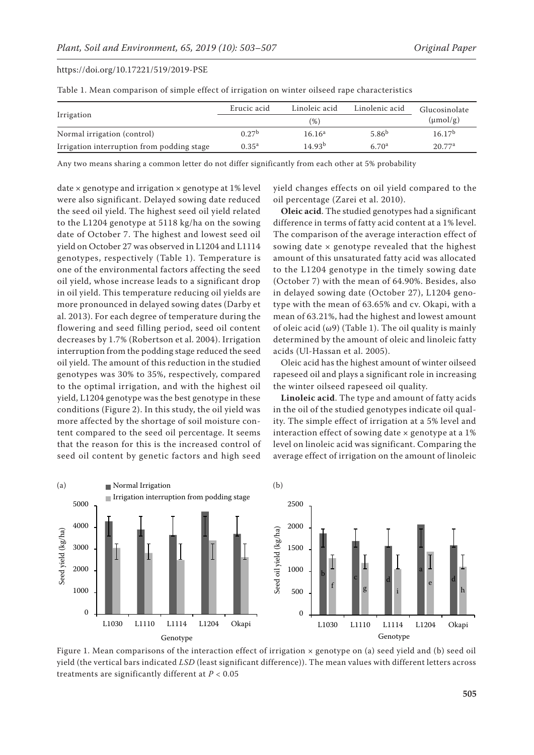Table 1. Mean comparison of simple effect of irrigation on winter oilseed rape characteristics

|                                            | Erucic acid       | Linoleic acid      | Linolenic acid    | Glucosinolate      |
|--------------------------------------------|-------------------|--------------------|-------------------|--------------------|
| Irrigation                                 |                   | $(\mu mol/g)$      |                   |                    |
| Normal irrigation (control)                | 0.27 <sup>b</sup> | 16.16 <sup>a</sup> | 5.86 <sup>b</sup> | 16.17 <sup>b</sup> |
| Irrigation interruption from podding stage | $0.35^{a}$        | 14.93 <sup>b</sup> | 6.70 <sup>a</sup> | 20.77 <sup>a</sup> |

Any two means sharing a common letter do not differ significantly from each other at 5% probability

date  $\times$  genotype and irrigation  $\times$  genotype at 1% level were also significant. Delayed sowing date reduced the seed oil yield. The highest seed oil yield related to the L1204 genotype at 5118 kg/ha on the sowing date of October 7. The highest and lowest seed oil yield on October 27 was observed in L1204 and L1114 genotypes, respectively (Table 1). Temperature is one of the environmental factors affecting the seed oil yield, whose increase leads to a significant drop in oil yield. This temperature reducing oil yields are more pronounced in delayed sowing dates (Darby et al. 2013). For each degree of temperature during the flowering and seed filling period, seed oil content decreases by 1.7% (Robertson et al. 2004). Irrigation interruption from the podding stage reduced the seed oil yield. The amount of this reduction in the studied genotypes was 30% to 35%, respectively, compared to the optimal irrigation, and with the highest oil yield, L1204 genotype was the best genotype in these conditions (Figure 2). In this study, the oil yield was more affected by the shortage of soil moisture content compared to the seed oil percentage. It seems that the reason for this is the increased control of seed oil content by genetic factors and high seed

yield changes effects on oil yield compared to the oil percentage (Zarei et al. 2010).

**Oleic acid**. The studied genotypes had a significant difference in terms of fatty acid content at a 1% level. The comparison of the average interaction effect of sowing date  $\times$  genotype revealed that the highest amount of this unsaturated fatty acid was allocated to the L1204 genotype in the timely sowing date (October 7) with the mean of 64.90%. Besides, also in delayed sowing date (October 27), L1204 genotype with the mean of 63.65% and cv. Okapi, with a mean of 63.21%, had the highest and lowest amount of oleic acid ( $\omega$ 9) (Table 1). The oil quality is mainly determined by the amount of oleic and linoleic fatty acids (Ul-Hassan et al. 2005).

Oleic acid has the highest amount of winter oilseed rapeseed oil and plays a significant role in increasing the winter oilseed rapeseed oil quality.

**Linoleic acid**. The type and amount of fatty acids in the oil of the studied genotypes indicate oil quality. The simple effect of irrigation at a 5% level and interaction effect of sowing date  $\times$  genotype at a 1% level on linoleic acid was significant. Comparing the average effect of irrigation on the amount of linoleic



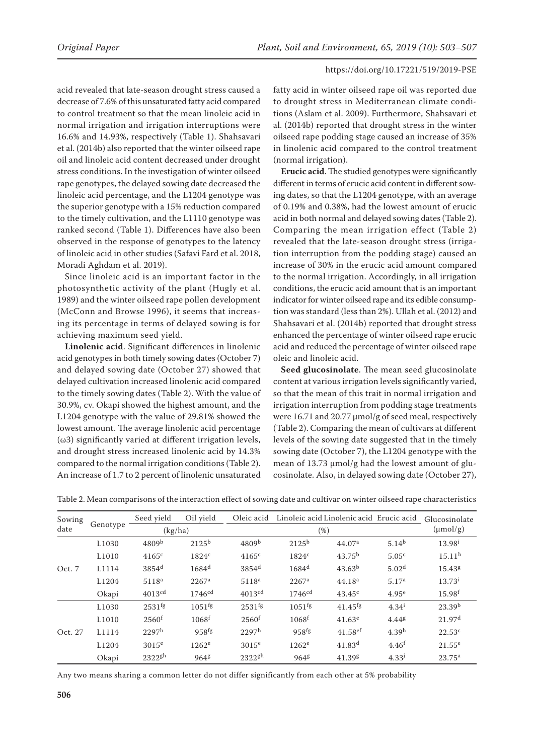acid revealed that late-season drought stress caused a decrease of 7.6% of this unsaturated fatty acid compared to control treatment so that the mean linoleic acid in normal irrigation and irrigation interruptions were 16.6% and 14.93%, respectively (Table 1). Shahsavari et al. (2014b) also reported that the winter oilseed rape oil and linoleic acid content decreased under drought stress conditions. In the investigation of winter oilseed rape genotypes, the delayed sowing date decreased the linoleic acid percentage, and the L1204 genotype was the superior genotype with a 15% reduction compared to the timely cultivation, and the L1110 genotype was ranked second (Table 1). Differences have also been observed in the response of genotypes to the latency of linoleic acid in other studies (Safavi Fard et al. 2018, Moradi Aghdam et al. 2019).

Since linoleic acid is an important factor in the photosynthetic activity of the plant (Hugly et al. 1989) and the winter oilseed rape pollen development (McConn and Browse 1996), it seems that increasing its percentage in terms of delayed sowing is for achieving maximum seed yield.

**Linolenic acid**. Significant differences in linolenic acid genotypes in both timely sowing dates (October 7) and delayed sowing date (October 27) showed that delayed cultivation increased linolenic acid compared to the timely sowing dates (Table 2). With the value of 30.9%, cv. Okapi showed the highest amount, and the L1204 genotype with the value of 29.81% showed the lowest amount. The average linolenic acid percentage (ω3) significantly varied at different irrigation levels, and drought stress increased linolenic acid by 14.3% compared to the normal irrigation conditions (Table 2). An increase of 1.7 to 2 percent of linolenic unsaturated fatty acid in winter oilseed rape oil was reported due to drought stress in Mediterranean climate conditions (Aslam et al. 2009). Furthermore, Shahsavari et al. (2014b) reported that drought stress in the winter oilseed rape podding stage caused an increase of 35% in linolenic acid compared to the control treatment (normal irrigation).

**Erucic acid**. The studied genotypes were significantly different in terms of erucic acid content in different sowing dates, so that the L1204 genotype, with an average of 0.19% and 0.38%, had the lowest amount of erucic acid in both normal and delayed sowing dates (Table 2). Comparing the mean irrigation effect (Table 2) revealed that the late-season drought stress (irrigation interruption from the podding stage) caused an increase of 30% in the erucic acid amount compared to the normal irrigation. Accordingly, in all irrigation conditions, the erucic acid amount that is an important indicator for winter oilseed rape and its edible consumption was standard (less than 2%). Ullah et al. (2012) and Shahsavari et al. (2014b) reported that drought stress enhanced the percentage of winter oilseed rape erucic acid and reduced the percentage of winter oilseed rape oleic and linoleic acid.

**Seed glucosinolate**. The mean seed glucosinolate content at various irrigation levels significantly varied, so that the mean of this trait in normal irrigation and irrigation interruption from podding stage treatments were 16.71 and 20.77 μmol/g of seed meal, respectively (Table 2). Comparing the mean of cultivars at different levels of the sowing date suggested that in the timely sowing date (October 7), the L1204 genotype with the mean of 13.73 μmol/g had the lowest amount of glucosinolate. Also, in delayed sowing date (October 27),

| Sowing<br>date | Genotype          | Seed yield          | Oil yield            | Oleic acid          |                      | Linoleic acid Linolenic acid Erucic acid |                   | Glucosinolate      |
|----------------|-------------------|---------------------|----------------------|---------------------|----------------------|------------------------------------------|-------------------|--------------------|
|                |                   | (kg/ha)             |                      | $(\%)$              |                      |                                          |                   | $(\mu mol/g)$      |
| Oct. 7         | L <sub>1030</sub> | 4809 <sup>b</sup>   | $2125^{b}$           | 4809 <sup>b</sup>   | $2125^{\rm b}$       | 44.07 <sup>a</sup>                       | $5.14^{b}$        | $13.98^{i}$        |
|                | L <sub>1010</sub> | 4165c               | 1824 <sup>c</sup>    | 4165c               | 1824c                | $43.75^{\rm b}$                          | 5.05 <sup>c</sup> | 15.11 <sup>h</sup> |
|                | L1114             | $3854$ <sup>d</sup> | $1684^d$             | $3854$ <sup>d</sup> | $1684^d$             | 43.63 <sup>b</sup>                       | 5.02 <sup>d</sup> | 15.438             |
|                | L1204             | 5118 <sup>a</sup>   | $2267^{\rm a}$       | 5118 <sup>a</sup>   | $2267^{\rm a}$       | 44.18 <sup>a</sup>                       | 5.17 <sup>a</sup> | $13.73^{i}$        |
|                | Okapi             | 4013 <sup>cd</sup>  | 1746 <sup>cd</sup>   | 4013 <sup>cd</sup>  | 1746 <sup>cd</sup>   | $43.45^{\circ}$                          | 4.95 <sup>e</sup> | 15.98 <sup>f</sup> |
| Oct. 27        | L <sub>1030</sub> | 2531 <sup>fg</sup>  | $1051$ <sup>fg</sup> | 2531 <sup>fg</sup>  | $1051$ <sup>fg</sup> | $41.45$ <sup>fg</sup>                    | $4.34^{i}$        | 23.39 <sup>b</sup> |
|                | L1010             | 2560 <sup>f</sup>   | 1068 <sup>f</sup>    | 2560 <sup>f</sup>   | 1068 <sup>f</sup>    | $41.63^e$                                | 4.448             | 21.97 <sup>d</sup> |
|                | L1114             | 2297 <sup>h</sup>   | $958$ <sup>fg</sup>  | 2297 <sup>h</sup>   | 958 <sup>fg</sup>    | $41.58$ <sup>ef</sup>                    | 4.39 <sup>h</sup> | 22.53c             |
|                | L1204             | $3015^e$            | 1262 <sup>e</sup>    | $3015^e$            | 1262 <sup>e</sup>    | 41.83 <sup>d</sup>                       | 4.46 <sup>f</sup> | $21.55^e$          |
|                | Okapi             | $2322$ gh           | 9648                 | $2322$ gh           | 9648                 | 41.39g                                   | $4.33^{j}$        | $23.75^{\rm a}$    |

Table 2. Mean comparisons of the interaction effect of sowing date and cultivar on winter oilseed rape characteristics

Any two means sharing a common letter do not differ significantly from each other at 5% probability